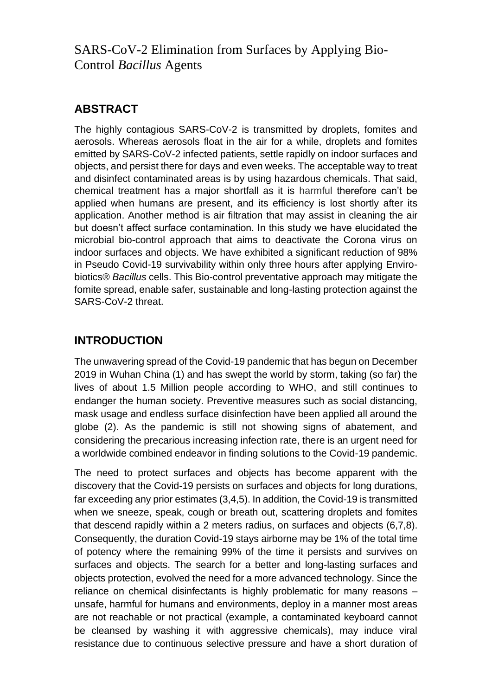SARS-CoV-2 Elimination from Surfaces by Applying Bio-Control *Bacillus* Agents

### **ABSTRACT**

The highly contagious SARS-CoV-2 is transmitted by droplets, fomites and aerosols. Whereas aerosols float in the air for a while, droplets and fomites emitted by SARS-CoV-2 infected patients, settle rapidly on indoor surfaces and objects, and persist there for days and even weeks. The acceptable way to treat and disinfect contaminated areas is by using hazardous chemicals. That said, chemical treatment has a major shortfall as it is harmful therefore can't be applied when humans are present, and its efficiency is lost shortly after its application. Another method is air filtration that may assist in cleaning the air but doesn't affect surface contamination. In this study we have elucidated the microbial bio-control approach that aims to deactivate the Corona virus on indoor surfaces and objects. We have exhibited a significant reduction of 98% in Pseudo Covid*-*19 survivability within only three hours after applying Envirobiotics® *Bacillus* cells. This Bio-control preventative approach may mitigate the fomite spread, enable safer, sustainable and long-lasting protection against the SARS-CoV-2 threat.

## **INTRODUCTION**

The unwavering spread of the Covid-19 pandemic that has begun on December 2019 in Wuhan China (1) and has swept the world by storm, taking (so far) the lives of about 1.5 Million people according to WHO, and still continues to endanger the human society. Preventive measures such as social distancing, mask usage and endless surface disinfection have been applied all around the globe (2). As the pandemic is still not showing signs of abatement, and considering the precarious increasing infection rate, there is an urgent need for a worldwide combined endeavor in finding solutions to the Covid-19 pandemic.

The need to protect surfaces and objects has become apparent with the discovery that the Covid-19 persists on surfaces and objects for long durations, far exceeding any prior estimates (3,4,5). In addition, the Covid-19 is transmitted when we sneeze, speak, cough or breath out, scattering droplets and fomites that descend rapidly within a 2 meters radius, on surfaces and objects (6,7,8). Consequently, the duration Covid-19 stays airborne may be 1% of the total time of potency where the remaining 99% of the time it persists and survives on surfaces and objects. The search for a better and long-lasting surfaces and objects protection, evolved the need for a more advanced technology. Since the reliance on chemical disinfectants is highly problematic for many reasons – unsafe, harmful for humans and environments, deploy in a manner most areas are not reachable or not practical (example, a contaminated keyboard cannot be cleansed by washing it with aggressive chemicals), may induce viral resistance due to continuous selective pressure and have a short duration of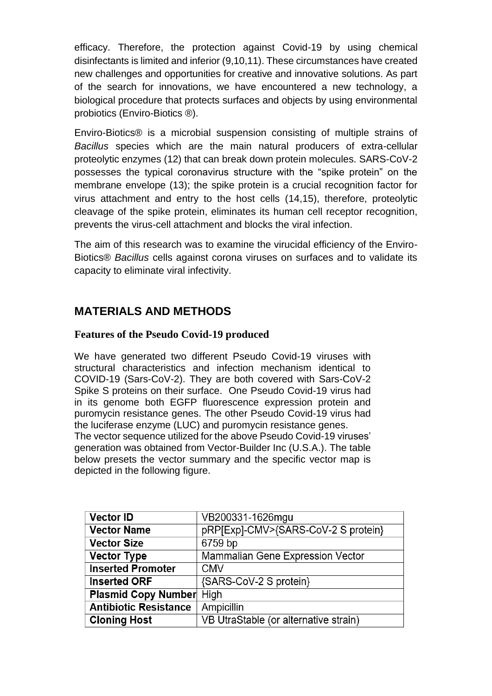efficacy. Therefore, the protection against Covid-19 by using chemical disinfectants is limited and inferior (9,10,11). These circumstances have created new challenges and opportunities for creative and innovative solutions. As part of the search for innovations, we have encountered a new technology, a biological procedure that protects surfaces and objects by using environmental probiotics (Enviro-Biotics ®).

Enviro-Biotics® is a microbial suspension consisting of multiple strains of *Bacillus* species which are the main natural producers of extra-cellular proteolytic enzymes (12) that can break down protein molecules. SARS-CoV-2 possesses the typical coronavirus structure with the "spike protein" on the membrane envelope (13); the spike protein is a crucial recognition factor for virus attachment and entry to the host cells (14,15), therefore, proteolytic cleavage of the spike protein, eliminates its human cell receptor recognition, prevents the virus-cell attachment and blocks the viral infection.

The aim of this research was to examine the virucidal efficiency of the Enviro-Biotics® *Bacillus* cells against corona viruses on surfaces and to validate its capacity to eliminate viral infectivity.

## **MATERIALS AND METHODS**

### **Features of the Pseudo Covid-19 produced**

We have generated two different Pseudo Covid-19 viruses with structural characteristics and infection mechanism identical to COVID-19 (Sars-CoV-2). They are both covered with Sars-CoV-2 Spike S proteins on their surface. One Pseudo Covid-19 virus had in its genome both EGFP fluorescence expression protein and puromycin resistance genes. The other Pseudo Covid-19 virus had the luciferase enzyme (LUC) and puromycin resistance genes. The vector sequence utilized for the above Pseudo Covid-19 viruses' generation was obtained from Vector-Builder Inc (U.S.A.). The table below presets the vector summary and the specific vector map is depicted in the following figure.

| <b>Vector ID</b>                | VB200331-1626mgu                      |
|---------------------------------|---------------------------------------|
| <b>Vector Name</b>              | pRP[Exp]-CMV>{SARS-CoV-2 S protein}   |
| <b>Vector Size</b>              | 6759 bp                               |
| <b>Vector Type</b>              | Mammalian Gene Expression Vector      |
| <b>Inserted Promoter</b>        | <b>CMV</b>                            |
| <b>Inserted ORF</b>             | {SARS-CoV-2 S protein}                |
| <b>Plasmid Copy Number</b> High |                                       |
| <b>Antibiotic Resistance</b>    | Ampicillin                            |
| <b>Cloning Host</b>             | VB UtraStable (or alternative strain) |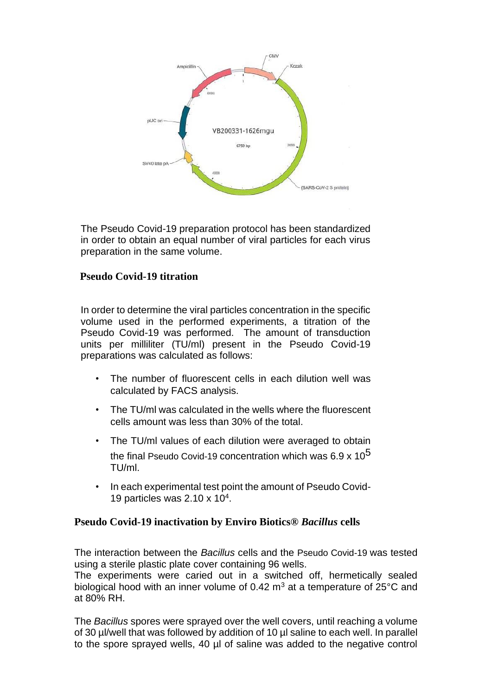

The Pseudo Covid*-*19 preparation protocol has been standardized in order to obtain an equal number of viral particles for each virus preparation in the same volume.

### **Pseudo Covid-19 titration**

In order to determine the viral particles concentration in the specific volume used in the performed experiments, a titration of the Pseudo Covid*-*19 was performed. The amount of transduction units per milliliter (TU/ml) present in the Pseudo Covid*-*19 preparations was calculated as follows:

- The number of fluorescent cells in each dilution well was calculated by FACS analysis.
- The TU/ml was calculated in the wells where the fluorescent cells amount was less than 30% of the total.
- The TU/ml values of each dilution were averaged to obtain the final Pseudo Covid-19 concentration which was 6.9 x 10<sup>5</sup> TU/ml.
- In each experimental test point the amount of Pseudo Covid-19 particles was 2.10 x 10<sup>4</sup> .

### **Pseudo Covid-19 inactivation by Enviro Biotics®** *Bacillus* **cells**

The interaction between the *Bacillus* cells and the Pseudo Covid*-*19 was tested using a sterile plastic plate cover containing 96 wells.

The experiments were caried out in a switched off, hermetically sealed biological hood with an inner volume of 0.42  $m<sup>3</sup>$  at a temperature of 25 $\degree$ C and at 80% RH.

The *Bacillus* spores were sprayed over the well covers, until reaching a volume of 30 µl/well that was followed by addition of 10 µl saline to each well. In parallel to the spore sprayed wells, 40 µl of saline was added to the negative control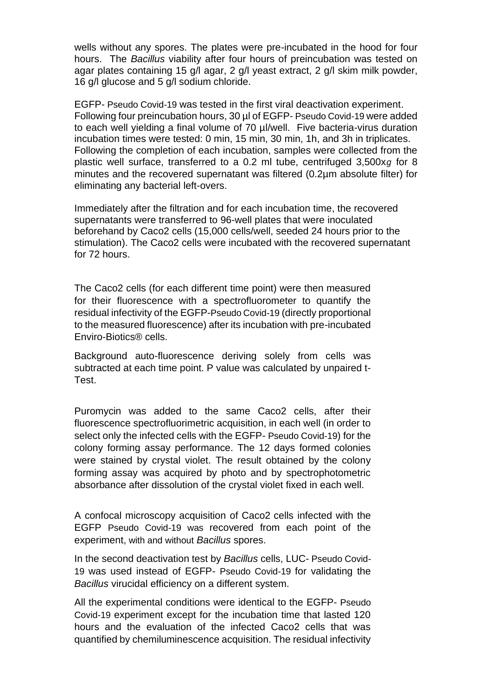wells without any spores. The plates were pre-incubated in the hood for four hours. The *Bacillus* viability after four hours of preincubation was tested on agar plates containing 15 g/l agar, 2 g/l yeast extract, 2 g/l skim milk powder, 16 g/l glucose and 5 g/l sodium chloride.

EGFP- Pseudo Covid*-*19 was tested in the first viral deactivation experiment. Following four preincubation hours, 30 µl of EGFP- Pseudo Covid*-*19 were added to each well yielding a final volume of 70 µl/well. Five bacteria-virus duration incubation times were tested: 0 min, 15 min, 30 min, 1h, and 3h in triplicates. Following the completion of each incubation, samples were collected from the plastic well surface, transferred to a 0.2 ml tube, centrifuged 3,500x*ɡ* for 8 minutes and the recovered supernatant was filtered (0.2µm absolute filter) for eliminating any bacterial left-overs.

Immediately after the filtration and for each incubation time, the recovered supernatants were transferred to 96-well plates that were inoculated beforehand by Caco2 cells (15,000 cells/well, seeded 24 hours prior to the stimulation). The Caco2 cells were incubated with the recovered supernatant for 72 hours.

The Caco2 cells (for each different time point) were then measured for their fluorescence with a spectrofluorometer to quantify the residual infectivity of the EGFP-Pseudo Covid*-*19 (directly proportional to the measured fluorescence) after its incubation with pre-incubated Enviro-Biotics® cells.

Background auto-fluorescence deriving solely from cells was subtracted at each time point. P value was calculated by unpaired t-Test.

Puromycin was added to the same Caco2 cells, after their fluorescence spectrofluorimetric acquisition, in each well (in order to select only the infected cells with the EGFP- Pseudo Covid*-*19) for the colony forming assay performance. The 12 days formed colonies were stained by crystal violet. The result obtained by the colony forming assay was acquired by photo and by spectrophotometric absorbance after dissolution of the crystal violet fixed in each well.

A confocal microscopy acquisition of Caco2 cells infected with the EGFP Pseudo Covid*-*19 was recovered from each point of the experiment, with and without *Bacillus* spores.

In the second deactivation test by *Bacillus* cells, LUC- Pseudo Covid*-*19 was used instead of EGFP- Pseudo Covid*-*19 for validating the *Bacillus* virucidal efficiency on a different system.

All the experimental conditions were identical to the EGFP- Pseudo Covid*-*19 experiment except for the incubation time that lasted 120 hours and the evaluation of the infected Caco2 cells that was quantified by chemiluminescence acquisition. The residual infectivity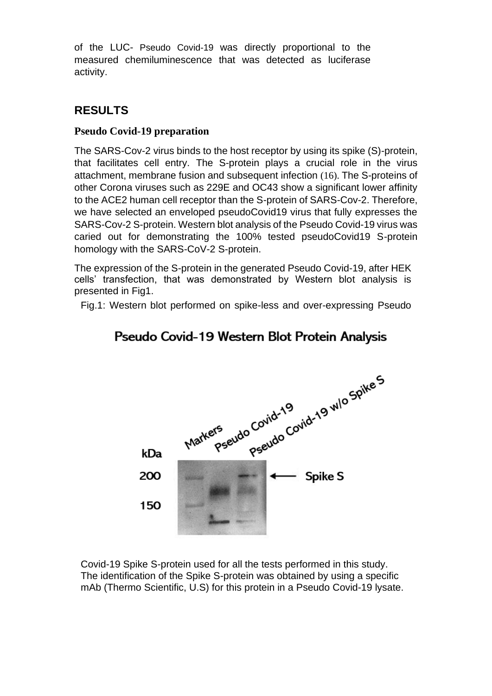of the LUC- Pseudo Covid*-*19 was directly proportional to the measured chemiluminescence that was detected as luciferase activity.

# **RESULTS**

### **Pseudo Covid-19 preparation**

The SARS-Cov-2 virus binds to the host receptor by using its spike (S)-protein, that facilitates cell entry. The S-protein plays a crucial role in the virus attachment, membrane fusion and subsequent infection (16). The S-proteins of other Corona viruses such as 229E and OC43 show a significant lower affinity to the ACE2 human cell receptor than the S-protein of SARS-Cov-2. Therefore, we have selected an enveloped pseudoCovid19 virus that fully expresses the SARS-Cov-2 S-protein. Western blot analysis of the Pseudo Covid-19 virus was caried out for demonstrating the 100% tested pseudoCovid19 S-protein homology with the SARS-CoV-2 S-protein.

The expression of the S-protein in the generated Pseudo Covid-19, after HEK cells' transfection, that was demonstrated by Western blot analysis is presented in Fig1.

Fig.1: Western blot performed on spike-less and over-expressing Pseudo



# Pseudo Covid-19 Western Blot Protein Analysis

Covid-19 Spike S-protein used for all the tests performed in this study. The identification of the Spike S-protein was obtained by using a specific mAb (Thermo Scientific, U.S) for this protein in a Pseudo Covid-19 lysate.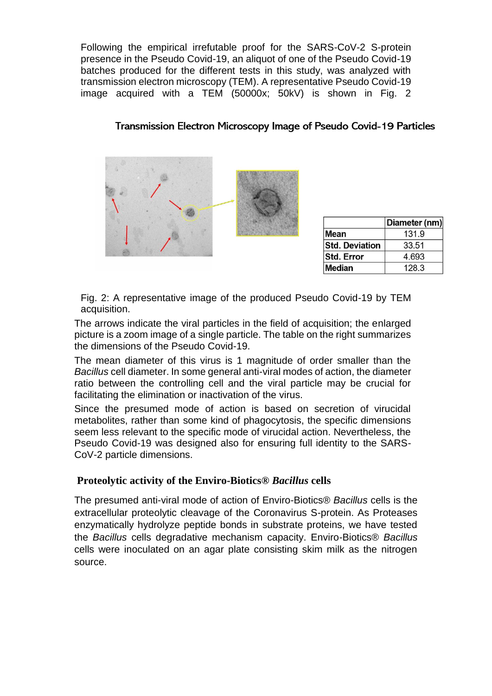Following the empirical irrefutable proof for the SARS-CoV-2 S-protein presence in the Pseudo Covid-19, an aliquot of one of the Pseudo Covid-19 batches produced for the different tests in this study, was analyzed with transmission electron microscopy (TEM). A representative Pseudo Covid-19 image acquired with a TEM (50000x; 50kV) is shown in Fig. 2

### Transmission Electron Microscopy Image of Pseudo Covid-19 Particles



|                       | Diameter (nm) |
|-----------------------|---------------|
| Mean                  | 131.9         |
| <b>Std. Deviation</b> | 33.51         |
| Std. Error            | 4.693         |
| Median                | 128.3         |

Fig. 2: A representative image of the produced Pseudo Covid-19 by TEM acquisition.

The arrows indicate the viral particles in the field of acquisition; the enlarged picture is a zoom image of a single particle. The table on the right summarizes the dimensions of the Pseudo Covid-19.

The mean diameter of this virus is 1 magnitude of order smaller than the *Bacillus* cell diameter. In some general anti-viral modes of action, the diameter ratio between the controlling cell and the viral particle may be crucial for facilitating the elimination or inactivation of the virus.

Since the presumed mode of action is based on secretion of virucidal metabolites, rather than some kind of phagocytosis, the specific dimensions seem less relevant to the specific mode of virucidal action. Nevertheless, the Pseudo Covid-19 was designed also for ensuring full identity to the SARS-CoV-2 particle dimensions.

### **Proteolytic activity of the Enviro-Biotics®** *Bacillus* **cells**

The presumed anti-viral mode of action of Enviro-Biotics® *Bacillus* cells is the extracellular proteolytic cleavage of the Coronavirus S-protein. As Proteases enzymatically hydrolyze peptide bonds in substrate proteins, we have tested the *Bacillus* cells degradative mechanism capacity. Enviro-Biotics® *Bacillus* cells were inoculated on an agar plate consisting skim milk as the nitrogen source.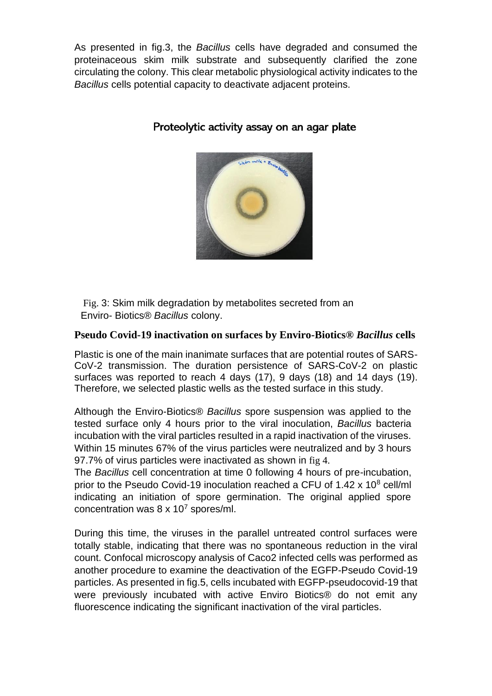As presented in fig.3, the *Bacillus* cells have degraded and consumed the proteinaceous skim milk substrate and subsequently clarified the zone circulating the colony. This clear metabolic physiological activity indicates to the *Bacillus* cells potential capacity to deactivate adjacent proteins.



### Proteolytic activity assay on an agar plate

Fig. 3: Skim milk degradation by metabolites secreted from an Enviro- Biotics® *Bacillus* colony.

#### **Pseudo Covid-19 inactivation on surfaces by Enviro-Biotics®** *Bacillus* **cells**

Plastic is one of the main inanimate surfaces that are potential routes of SARS-CoV-2 transmission. The duration persistence of SARS-CoV-2 on plastic surfaces was reported to reach 4 days (17), 9 days (18) and 14 days (19). Therefore, we selected plastic wells as the tested surface in this study.

Although the Enviro-Biotics® *Bacillus* spore suspension was applied to the tested surface only 4 hours prior to the viral inoculation, *Bacillus* bacteria incubation with the viral particles resulted in a rapid inactivation of the viruses. Within 15 minutes 67% of the virus particles were neutralized and by 3 hours 97.7% of virus particles were inactivated as shown in fig 4.

The *Bacillus* cell concentration at time 0 following 4 hours of pre-incubation, prior to the Pseudo Covid-19 inoculation reached a CFU of 1.42 x 10<sup>8</sup> cell/ml indicating an initiation of spore germination. The original applied spore concentration was  $8 \times 10^7$  spores/ml.

During this time, the viruses in the parallel untreated control surfaces were totally stable, indicating that there was no spontaneous reduction in the viral count. Confocal microscopy analysis of Caco2 infected cells was performed as another procedure to examine the deactivation of the EGFP-Pseudo Covid-19 particles. As presented in fig.5, cells incubated with EGFP-pseudocovid-19 that were previously incubated with active Enviro Biotics® do not emit any fluorescence indicating the significant inactivation of the viral particles.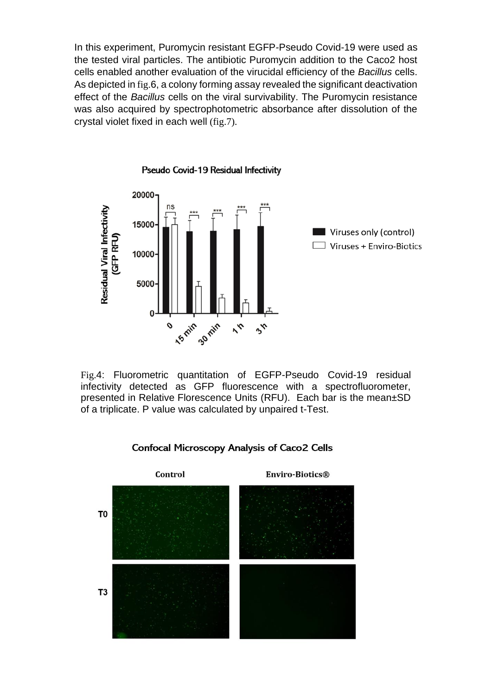In this experiment, Puromycin resistant EGFP-Pseudo Covid-19 were used as the tested viral particles. The antibiotic Puromycin addition to the Caco2 host cells enabled another evaluation of the virucidal efficiency of the *Bacillus* cells. As depicted in fig.6, a colony forming assay revealed the significant deactivation effect of the *Bacillus* cells on the viral survivability. The Puromycin resistance was also acquired by spectrophotometric absorbance after dissolution of the crystal violet fixed in each well (fig.7).



Pseudo Covid-19 Residual Infectivity

Fig.4: Fluorometric quantitation of EGFP-Pseudo Covid-19 residual infectivity detected as GFP fluorescence with a spectrofluorometer, presented in Relative Florescence Units (RFU). Each bar is the mean±SD of a triplicate. P value was calculated by unpaired t-Test.



#### **Confocal Microscopy Analysis of Caco2 Cells**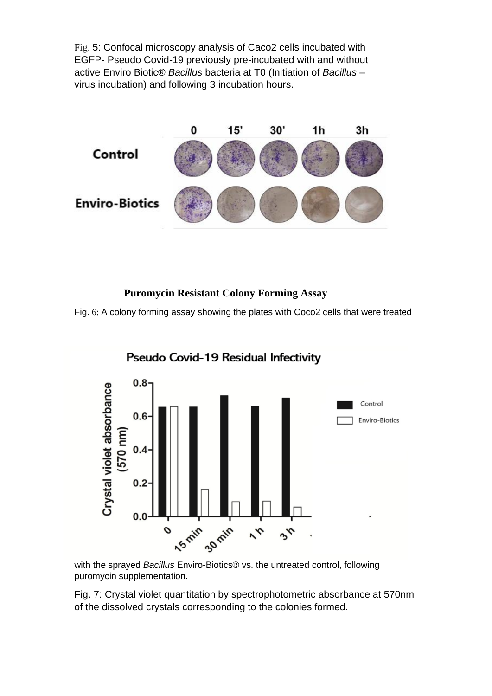Fig. 5: Confocal microscopy analysis of Caco2 cells incubated with EGFP- Pseudo Covid-19 previously pre-incubated with and without active Enviro Biotic® *Bacillus* bacteria at T0 (Initiation of *Bacillus* – virus incubation) and following 3 incubation hours.



### **Puromycin Resistant Colony Forming Assay**

Fig. 6: A colony forming assay showing the plates with Coco2 cells that were treated



Pseudo Covid-19 Residual Infectivity

with the sprayed *Bacillus* Enviro-Biotics® vs. the untreated control, following puromycin supplementation.

Fig. 7: Crystal violet quantitation by spectrophotometric absorbance at 570nm of the dissolved crystals corresponding to the colonies formed.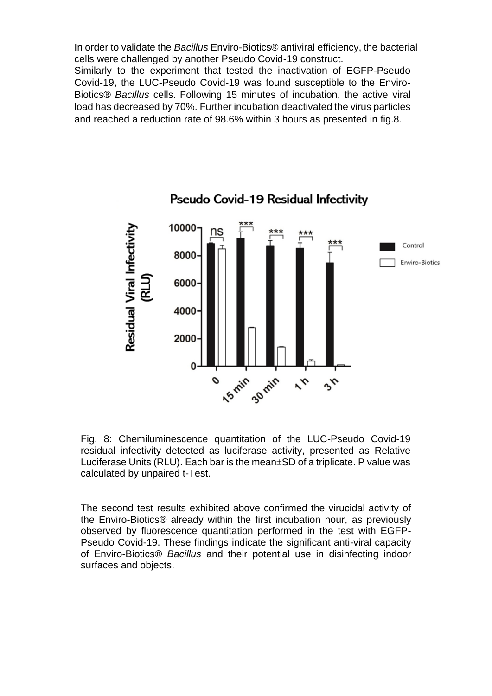In order to validate the *Bacillus* Enviro-Biotics® antiviral efficiency, the bacterial cells were challenged by another Pseudo Covid-19 construct. Similarly to the experiment that tested the inactivation of EGFP-Pseudo Covid-19, the LUC-Pseudo Covid-19 was found susceptible to the Enviro-Biotics® *Bacillus* cells. Following 15 minutes of incubation, the active viral load has decreased by 70%. Further incubation deactivated the virus particles and reached a reduction rate of 98.6% within 3 hours as presented in fig.8.



Pseudo Covid-19 Residual Infectivity

Fig. 8: Chemiluminescence quantitation of the LUC-Pseudo Covid-19 residual infectivity detected as luciferase activity, presented as Relative Luciferase Units (RLU). Each bar is the mean±SD of a triplicate. P value was calculated by unpaired t-Test.

The second test results exhibited above confirmed the virucidal activity of the Enviro-Biotics® already within the first incubation hour, as previously observed by fluorescence quantitation performed in the test with EGFP-Pseudo Covid-19. These findings indicate the significant anti-viral capacity of Enviro-Biotics® *Bacillus* and their potential use in disinfecting indoor surfaces and objects.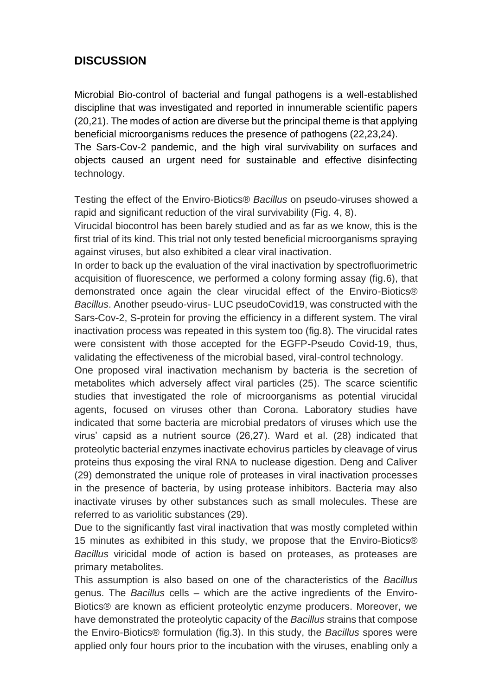## **DISCUSSION**

Microbial Bio-control of bacterial and fungal pathogens is a well-established discipline that was investigated and reported in innumerable scientific papers (20,21). The modes of action are diverse but the principal theme is that applying beneficial microorganisms reduces the presence of pathogens (22,23,24).

The Sars-Cov-2 pandemic, and the high viral survivability on surfaces and objects caused an urgent need for sustainable and effective disinfecting technology.

Testing the effect of the Enviro-Biotics® *Bacillus* on pseudo-viruses showed a rapid and significant reduction of the viral survivability (Fig. 4, 8).

Virucidal biocontrol has been barely studied and as far as we know, this is the first trial of its kind. This trial not only tested beneficial microorganisms spraying against viruses, but also exhibited a clear viral inactivation.

In order to back up the evaluation of the viral inactivation by spectrofluorimetric acquisition of fluorescence, we performed a colony forming assay (fig.6), that demonstrated once again the clear virucidal effect of the Enviro-Biotics® *Bacillus*. Another pseudo-virus- LUC pseudoCovid19, was constructed with the Sars-Cov-2, S-protein for proving the efficiency in a different system. The viral inactivation process was repeated in this system too (fig.8). The virucidal rates were consistent with those accepted for the EGFP-Pseudo Covid-19, thus, validating the effectiveness of the microbial based, viral-control technology.

One proposed viral inactivation mechanism by bacteria is the secretion of metabolites which adversely affect viral particles (25). The scarce scientific studies that investigated the role of microorganisms as potential virucidal agents, focused on viruses other than Corona. Laboratory studies have indicated that some bacteria are microbial predators of viruses which use the virus' capsid as a nutrient source (26,27). Ward et al. (28) indicated that proteolytic bacterial enzymes inactivate echovirus particles by cleavage of virus proteins thus exposing the viral RNA to nuclease digestion. Deng and Caliver (29) demonstrated the unique role of proteases in viral inactivation processes in the presence of bacteria, by using protease inhibitors. Bacteria may also inactivate viruses by other substances such as small molecules. These are referred to as variolitic substances (29).

Due to the significantly fast viral inactivation that was mostly completed within 15 minutes as exhibited in this study, we propose that the Enviro-Biotics® *Bacillus* viricidal mode of action is based on proteases, as proteases are primary metabolites.

This assumption is also based on one of the characteristics of the *Bacillus* genus. The *Bacillus* cells – which are the active ingredients of the Enviro-Biotics® are known as efficient proteolytic enzyme producers. Moreover, we have demonstrated the proteolytic capacity of the *Bacillus* strains that compose the Enviro-Biotics® formulation (fig.3). In this study, the *Bacillus* spores were applied only four hours prior to the incubation with the viruses, enabling only a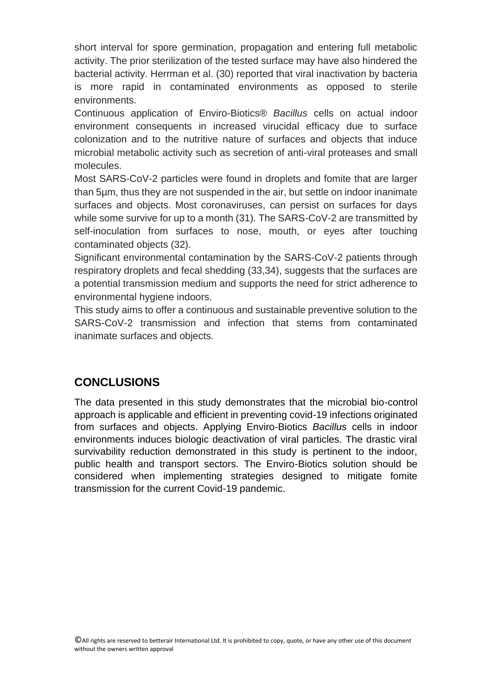short interval for spore germination, propagation and entering full metabolic activity. The prior sterilization of the tested surface may have also hindered the bacterial activity. Herrman et al. (30) reported that viral inactivation by bacteria is more rapid in contaminated environments as opposed to sterile environments.

Continuous application of Enviro-Biotics® *Bacillus* cells on actual indoor environment consequents in increased virucidal efficacy due to surface colonization and to the nutritive nature of surfaces and objects that induce microbial metabolic activity such as secretion of anti-viral proteases and small molecules.

Most SARS-CoV-2 particles were found in droplets and fomite that are larger than 5µm, thus they are not suspended in the air, but settle on indoor inanimate surfaces and objects. Most coronaviruses, can persist on surfaces for days while some survive for up to a month (31). The SARS-CoV-2 are transmitted by self-inoculation from surfaces to nose, mouth, or eyes after touching contaminated objects (32).

Significant environmental contamination by the SARS-CoV-2 patients through respiratory droplets and fecal shedding (33,34), suggests that the surfaces are a potential transmission medium and supports the need for strict adherence to environmental hygiene indoors.

This study aims to offer a continuous and sustainable preventive solution to the SARS-CoV-2 transmission and infection that stems from contaminated inanimate surfaces and objects.

## **CONCLUSIONS**

The data presented in this study demonstrates that the microbial bio-control approach is applicable and efficient in preventing covid-19 infections originated from surfaces and objects. Applying Enviro-Biotics *Bacillus* cells in indoor environments induces biologic deactivation of viral particles. The drastic viral survivability reduction demonstrated in this study is pertinent to the indoor, public health and transport sectors. The Enviro-Biotics solution should be considered when implementing strategies designed to mitigate fomite transmission for the current Covid-19 pandemic.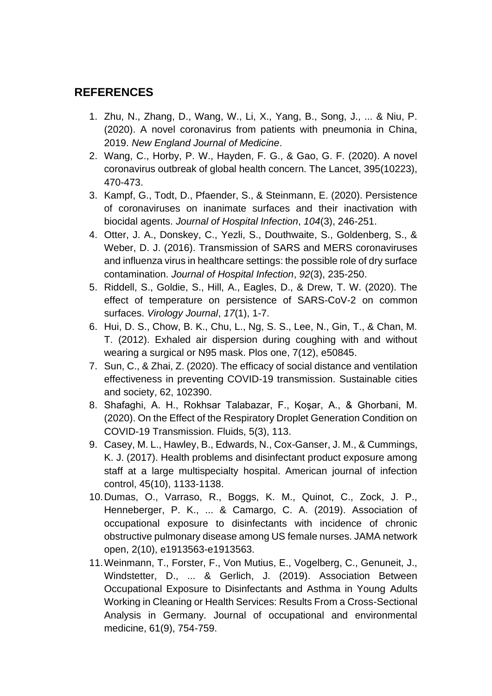### **REFERENCES**

- 1. Zhu, N., Zhang, D., Wang, W., Li, X., Yang, B., Song, J., ... & Niu, P. (2020). A novel coronavirus from patients with pneumonia in China, 2019. *New England Journal of Medicine*.
- 2. Wang, C., Horby, P. W., Hayden, F. G., & Gao, G. F. (2020). A novel coronavirus outbreak of global health concern. The Lancet, 395(10223), 470-473.
- 3. Kampf, G., Todt, D., Pfaender, S., & Steinmann, E. (2020). Persistence of coronaviruses on inanimate surfaces and their inactivation with biocidal agents. *Journal of Hospital Infection*, *104*(3), 246-251.
- 4. Otter, J. A., Donskey, C., Yezli, S., Douthwaite, S., Goldenberg, S., & Weber, D. J. (2016). Transmission of SARS and MERS coronaviruses and influenza virus in healthcare settings: the possible role of dry surface contamination. *Journal of Hospital Infection*, *92*(3), 235-250.
- 5. Riddell, S., Goldie, S., Hill, A., Eagles, D., & Drew, T. W. (2020). The effect of temperature on persistence of SARS-CoV-2 on common surfaces. *Virology Journal*, *17*(1), 1-7.
- 6. Hui, D. S., Chow, B. K., Chu, L., Ng, S. S., Lee, N., Gin, T., & Chan, M. T. (2012). Exhaled air dispersion during coughing with and without wearing a surgical or N95 mask. Plos one, 7(12), e50845.
- 7. Sun, C., & Zhai, Z. (2020). The efficacy of social distance and ventilation effectiveness in preventing COVID-19 transmission. Sustainable cities and society, 62, 102390.
- 8. Shafaghi, A. H., Rokhsar Talabazar, F., Koşar, A., & Ghorbani, M. (2020). On the Effect of the Respiratory Droplet Generation Condition on COVID-19 Transmission. Fluids, 5(3), 113.
- 9. Casey, M. L., Hawley, B., Edwards, N., Cox-Ganser, J. M., & Cummings, K. J. (2017). Health problems and disinfectant product exposure among staff at a large multispecialty hospital. American journal of infection control, 45(10), 1133-1138.
- 10.Dumas, O., Varraso, R., Boggs, K. M., Quinot, C., Zock, J. P., Henneberger, P. K., ... & Camargo, C. A. (2019). Association of occupational exposure to disinfectants with incidence of chronic obstructive pulmonary disease among US female nurses. JAMA network open, 2(10), e1913563-e1913563.
- 11.Weinmann, T., Forster, F., Von Mutius, E., Vogelberg, C., Genuneit, J., Windstetter, D., ... & Gerlich, J. (2019). Association Between Occupational Exposure to Disinfectants and Asthma in Young Adults Working in Cleaning or Health Services: Results From a Cross-Sectional Analysis in Germany. Journal of occupational and environmental medicine, 61(9), 754-759.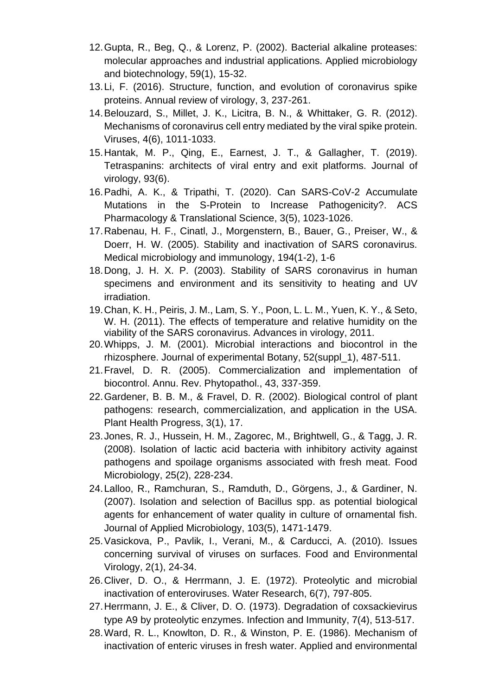- 12.Gupta, R., Beg, Q., & Lorenz, P. (2002). Bacterial alkaline proteases: molecular approaches and industrial applications. Applied microbiology and biotechnology, 59(1), 15-32.
- 13.Li, F. (2016). Structure, function, and evolution of coronavirus spike proteins. Annual review of virology, 3, 237-261.
- 14.Belouzard, S., Millet, J. K., Licitra, B. N., & Whittaker, G. R. (2012). Mechanisms of coronavirus cell entry mediated by the viral spike protein. Viruses, 4(6), 1011-1033.
- 15.Hantak, M. P., Qing, E., Earnest, J. T., & Gallagher, T. (2019). Tetraspanins: architects of viral entry and exit platforms. Journal of virology, 93(6).
- 16.Padhi, A. K., & Tripathi, T. (2020). Can SARS-CoV-2 Accumulate Mutations in the S-Protein to Increase Pathogenicity?. ACS Pharmacology & Translational Science, 3(5), 1023-1026.
- 17.Rabenau, H. F., Cinatl, J., Morgenstern, B., Bauer, G., Preiser, W., & Doerr, H. W. (2005). Stability and inactivation of SARS coronavirus. Medical microbiology and immunology, 194(1-2), 1-6
- 18.Dong, J. H. X. P. (2003). Stability of SARS coronavirus in human specimens and environment and its sensitivity to heating and UV irradiation.
- 19.Chan, K. H., Peiris, J. M., Lam, S. Y., Poon, L. L. M., Yuen, K. Y., & Seto, W. H. (2011). The effects of temperature and relative humidity on the viability of the SARS coronavirus. Advances in virology, 2011.
- 20.Whipps, J. M. (2001). Microbial interactions and biocontrol in the rhizosphere. Journal of experimental Botany, 52(suppl\_1), 487-511.
- 21.Fravel, D. R. (2005). Commercialization and implementation of biocontrol. Annu. Rev. Phytopathol., 43, 337-359.
- 22.Gardener, B. B. M., & Fravel, D. R. (2002). Biological control of plant pathogens: research, commercialization, and application in the USA. Plant Health Progress, 3(1), 17.
- 23.Jones, R. J., Hussein, H. M., Zagorec, M., Brightwell, G., & Tagg, J. R. (2008). Isolation of lactic acid bacteria with inhibitory activity against pathogens and spoilage organisms associated with fresh meat. Food Microbiology, 25(2), 228-234.
- 24.Lalloo, R., Ramchuran, S., Ramduth, D., Görgens, J., & Gardiner, N. (2007). Isolation and selection of Bacillus spp. as potential biological agents for enhancement of water quality in culture of ornamental fish. Journal of Applied Microbiology, 103(5), 1471-1479.
- 25.Vasickova, P., Pavlik, I., Verani, M., & Carducci, A. (2010). Issues concerning survival of viruses on surfaces. Food and Environmental Virology, 2(1), 24-34.
- 26.Cliver, D. O., & Herrmann, J. E. (1972). Proteolytic and microbial inactivation of enteroviruses. Water Research, 6(7), 797-805.
- 27.Herrmann, J. E., & Cliver, D. O. (1973). Degradation of coxsackievirus type A9 by proteolytic enzymes. Infection and Immunity, 7(4), 513-517.
- 28.Ward, R. L., Knowlton, D. R., & Winston, P. E. (1986). Mechanism of inactivation of enteric viruses in fresh water. Applied and environmental